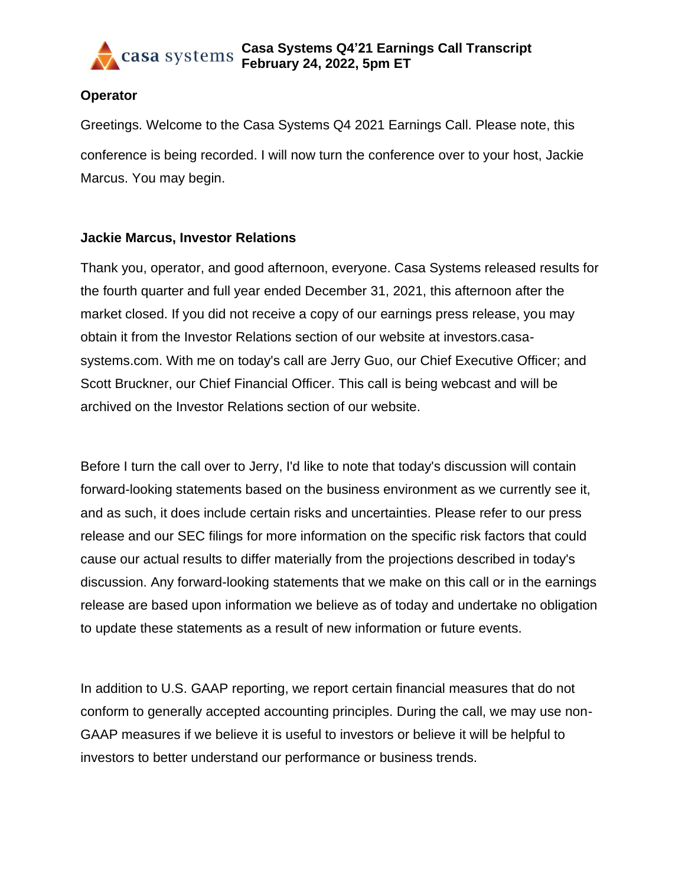

#### **Operator**

Greetings. Welcome to the Casa Systems Q4 2021 Earnings Call. Please note, this conference is being recorded. I will now turn the conference over to your host, Jackie Marcus. You may begin.

### **Jackie Marcus, Investor Relations**

Thank you, operator, and good afternoon, everyone. Casa Systems released results for the fourth quarter and full year ended December 31, 2021, this afternoon after the market closed. If you did not receive a copy of our earnings press release, you may obtain it from the Investor Relations section of our website at investors.casasystems.com. With me on today's call are Jerry Guo, our Chief Executive Officer; and Scott Bruckner, our Chief Financial Officer. This call is being webcast and will be archived on the Investor Relations section of our website.

Before I turn the call over to Jerry, I'd like to note that today's discussion will contain forward-looking statements based on the business environment as we currently see it, and as such, it does include certain risks and uncertainties. Please refer to our press release and our SEC filings for more information on the specific risk factors that could cause our actual results to differ materially from the projections described in today's discussion. Any forward-looking statements that we make on this call or in the earnings release are based upon information we believe as of today and undertake no obligation to update these statements as a result of new information or future events.

In addition to U.S. GAAP reporting, we report certain financial measures that do not conform to generally accepted accounting principles. During the call, we may use non-GAAP measures if we believe it is useful to investors or believe it will be helpful to investors to better understand our performance or business trends.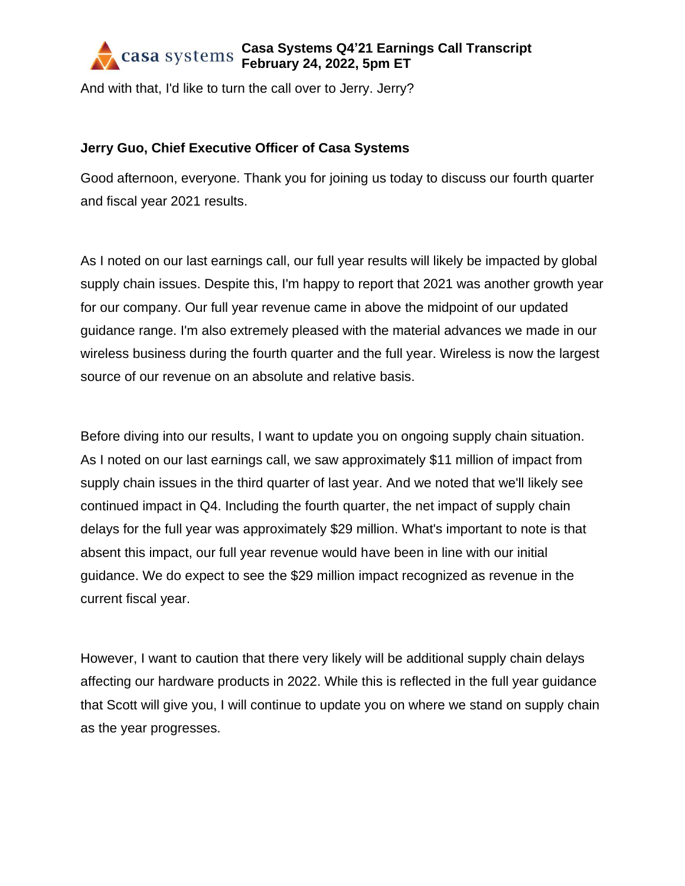And with that, I'd like to turn the call over to Jerry. Jerry?

### **Jerry Guo, Chief Executive Officer of Casa Systems**

Good afternoon, everyone. Thank you for joining us today to discuss our fourth quarter and fiscal year 2021 results.

As I noted on our last earnings call, our full year results will likely be impacted by global supply chain issues. Despite this, I'm happy to report that 2021 was another growth year for our company. Our full year revenue came in above the midpoint of our updated guidance range. I'm also extremely pleased with the material advances we made in our wireless business during the fourth quarter and the full year. Wireless is now the largest source of our revenue on an absolute and relative basis.

Before diving into our results, I want to update you on ongoing supply chain situation. As I noted on our last earnings call, we saw approximately \$11 million of impact from supply chain issues in the third quarter of last year. And we noted that we'll likely see continued impact in Q4. Including the fourth quarter, the net impact of supply chain delays for the full year was approximately \$29 million. What's important to note is that absent this impact, our full year revenue would have been in line with our initial guidance. We do expect to see the \$29 million impact recognized as revenue in the current fiscal year.

However, I want to caution that there very likely will be additional supply chain delays affecting our hardware products in 2022. While this is reflected in the full year guidance that Scott will give you, I will continue to update you on where we stand on supply chain as the year progresses.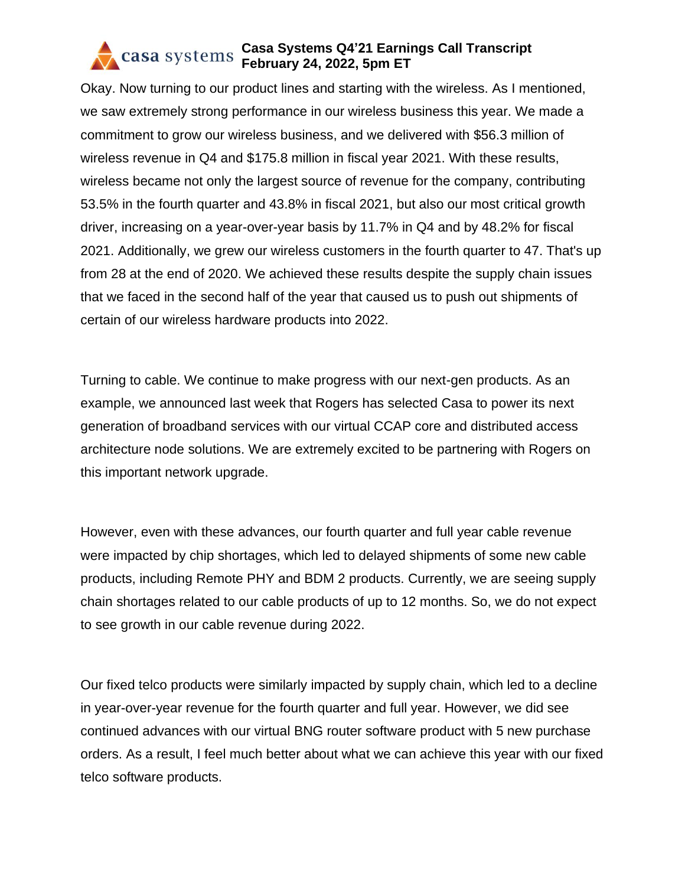Okay. Now turning to our product lines and starting with the wireless. As I mentioned, we saw extremely strong performance in our wireless business this year. We made a commitment to grow our wireless business, and we delivered with \$56.3 million of wireless revenue in Q4 and \$175.8 million in fiscal year 2021. With these results, wireless became not only the largest source of revenue for the company, contributing 53.5% in the fourth quarter and 43.8% in fiscal 2021, but also our most critical growth driver, increasing on a year-over-year basis by 11.7% in Q4 and by 48.2% for fiscal 2021. Additionally, we grew our wireless customers in the fourth quarter to 47. That's up from 28 at the end of 2020. We achieved these results despite the supply chain issues that we faced in the second half of the year that caused us to push out shipments of certain of our wireless hardware products into 2022.

Turning to cable. We continue to make progress with our next-gen products. As an example, we announced last week that Rogers has selected Casa to power its next generation of broadband services with our virtual CCAP core and distributed access architecture node solutions. We are extremely excited to be partnering with Rogers on this important network upgrade.

However, even with these advances, our fourth quarter and full year cable revenue were impacted by chip shortages, which led to delayed shipments of some new cable products, including Remote PHY and BDM 2 products. Currently, we are seeing supply chain shortages related to our cable products of up to 12 months. So, we do not expect to see growth in our cable revenue during 2022.

Our fixed telco products were similarly impacted by supply chain, which led to a decline in year-over-year revenue for the fourth quarter and full year. However, we did see continued advances with our virtual BNG router software product with 5 new purchase orders. As a result, I feel much better about what we can achieve this year with our fixed telco software products.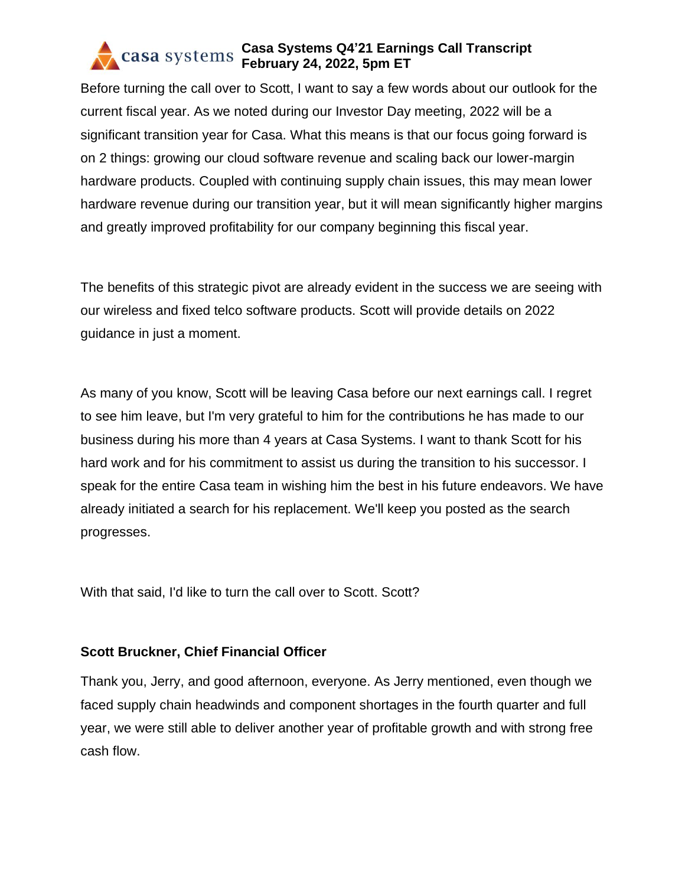Before turning the call over to Scott, I want to say a few words about our outlook for the current fiscal year. As we noted during our Investor Day meeting, 2022 will be a significant transition year for Casa. What this means is that our focus going forward is on 2 things: growing our cloud software revenue and scaling back our lower-margin hardware products. Coupled with continuing supply chain issues, this may mean lower hardware revenue during our transition year, but it will mean significantly higher margins and greatly improved profitability for our company beginning this fiscal year.

The benefits of this strategic pivot are already evident in the success we are seeing with our wireless and fixed telco software products. Scott will provide details on 2022 guidance in just a moment.

As many of you know, Scott will be leaving Casa before our next earnings call. I regret to see him leave, but I'm very grateful to him for the contributions he has made to our business during his more than 4 years at Casa Systems. I want to thank Scott for his hard work and for his commitment to assist us during the transition to his successor. I speak for the entire Casa team in wishing him the best in his future endeavors. We have already initiated a search for his replacement. We'll keep you posted as the search progresses.

With that said, I'd like to turn the call over to Scott. Scott?

### **Scott Bruckner, Chief Financial Officer**

Thank you, Jerry, and good afternoon, everyone. As Jerry mentioned, even though we faced supply chain headwinds and component shortages in the fourth quarter and full year, we were still able to deliver another year of profitable growth and with strong free cash flow.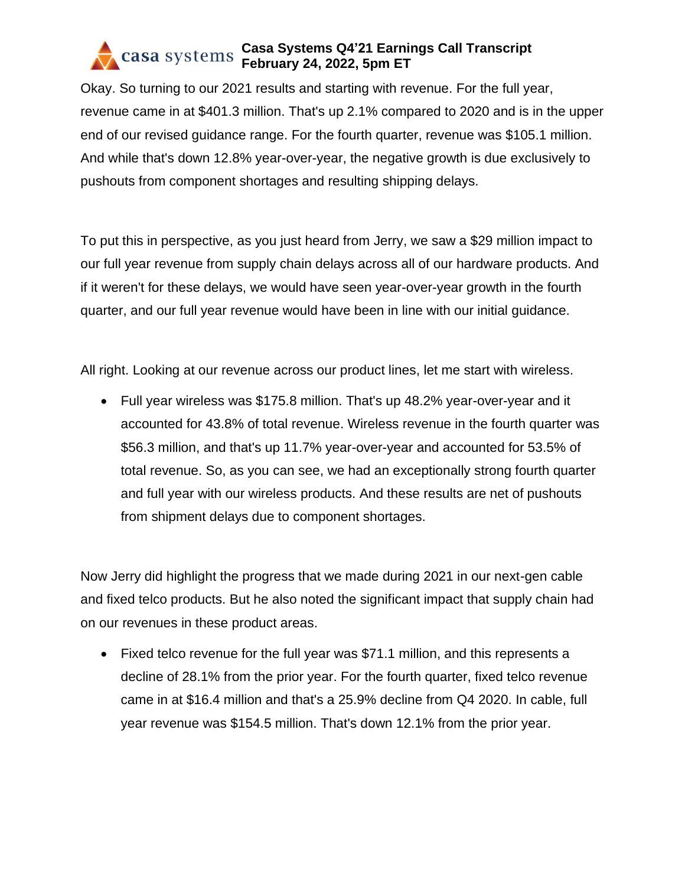Okay. So turning to our 2021 results and starting with revenue. For the full year, revenue came in at \$401.3 million. That's up 2.1% compared to 2020 and is in the upper end of our revised guidance range. For the fourth quarter, revenue was \$105.1 million. And while that's down 12.8% year-over-year, the negative growth is due exclusively to pushouts from component shortages and resulting shipping delays.

To put this in perspective, as you just heard from Jerry, we saw a \$29 million impact to our full year revenue from supply chain delays across all of our hardware products. And if it weren't for these delays, we would have seen year-over-year growth in the fourth quarter, and our full year revenue would have been in line with our initial guidance.

All right. Looking at our revenue across our product lines, let me start with wireless.

• Full year wireless was \$175.8 million. That's up 48.2% year-over-year and it accounted for 43.8% of total revenue. Wireless revenue in the fourth quarter was \$56.3 million, and that's up 11.7% year-over-year and accounted for 53.5% of total revenue. So, as you can see, we had an exceptionally strong fourth quarter and full year with our wireless products. And these results are net of pushouts from shipment delays due to component shortages.

Now Jerry did highlight the progress that we made during 2021 in our next-gen cable and fixed telco products. But he also noted the significant impact that supply chain had on our revenues in these product areas.

• Fixed telco revenue for the full year was \$71.1 million, and this represents a decline of 28.1% from the prior year. For the fourth quarter, fixed telco revenue came in at \$16.4 million and that's a 25.9% decline from Q4 2020. In cable, full year revenue was \$154.5 million. That's down 12.1% from the prior year.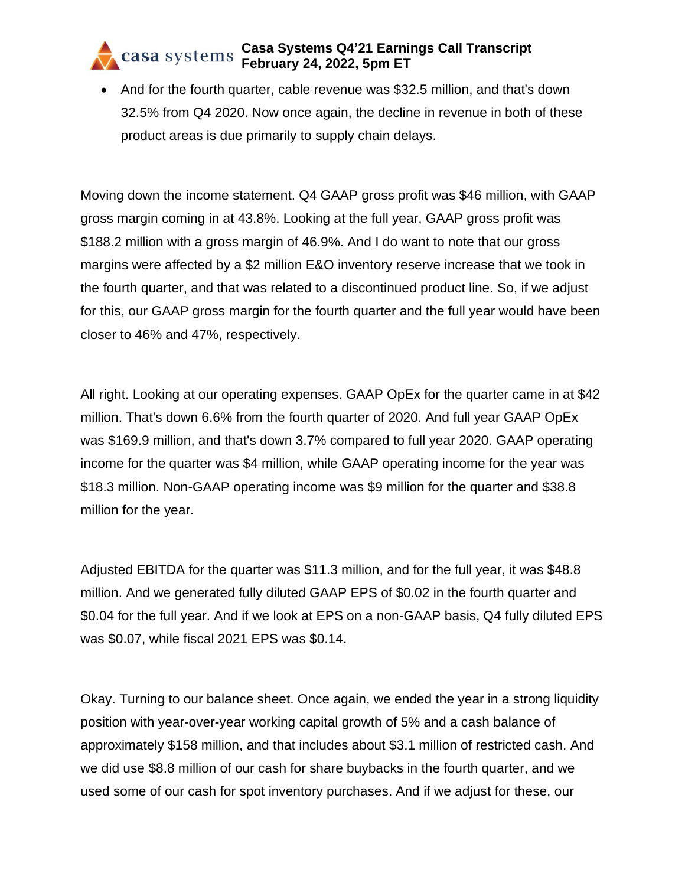• And for the fourth quarter, cable revenue was \$32.5 million, and that's down 32.5% from Q4 2020. Now once again, the decline in revenue in both of these product areas is due primarily to supply chain delays.

Moving down the income statement. Q4 GAAP gross profit was \$46 million, with GAAP gross margin coming in at 43.8%. Looking at the full year, GAAP gross profit was \$188.2 million with a gross margin of 46.9%. And I do want to note that our gross margins were affected by a \$2 million E&O inventory reserve increase that we took in the fourth quarter, and that was related to a discontinued product line. So, if we adjust for this, our GAAP gross margin for the fourth quarter and the full year would have been closer to 46% and 47%, respectively.

All right. Looking at our operating expenses. GAAP OpEx for the quarter came in at \$42 million. That's down 6.6% from the fourth quarter of 2020. And full year GAAP OpEx was \$169.9 million, and that's down 3.7% compared to full year 2020. GAAP operating income for the quarter was \$4 million, while GAAP operating income for the year was \$18.3 million. Non-GAAP operating income was \$9 million for the quarter and \$38.8 million for the year.

Adjusted EBITDA for the quarter was \$11.3 million, and for the full year, it was \$48.8 million. And we generated fully diluted GAAP EPS of \$0.02 in the fourth quarter and \$0.04 for the full year. And if we look at EPS on a non-GAAP basis, Q4 fully diluted EPS was \$0.07, while fiscal 2021 EPS was \$0.14.

Okay. Turning to our balance sheet. Once again, we ended the year in a strong liquidity position with year-over-year working capital growth of 5% and a cash balance of approximately \$158 million, and that includes about \$3.1 million of restricted cash. And we did use \$8.8 million of our cash for share buybacks in the fourth quarter, and we used some of our cash for spot inventory purchases. And if we adjust for these, our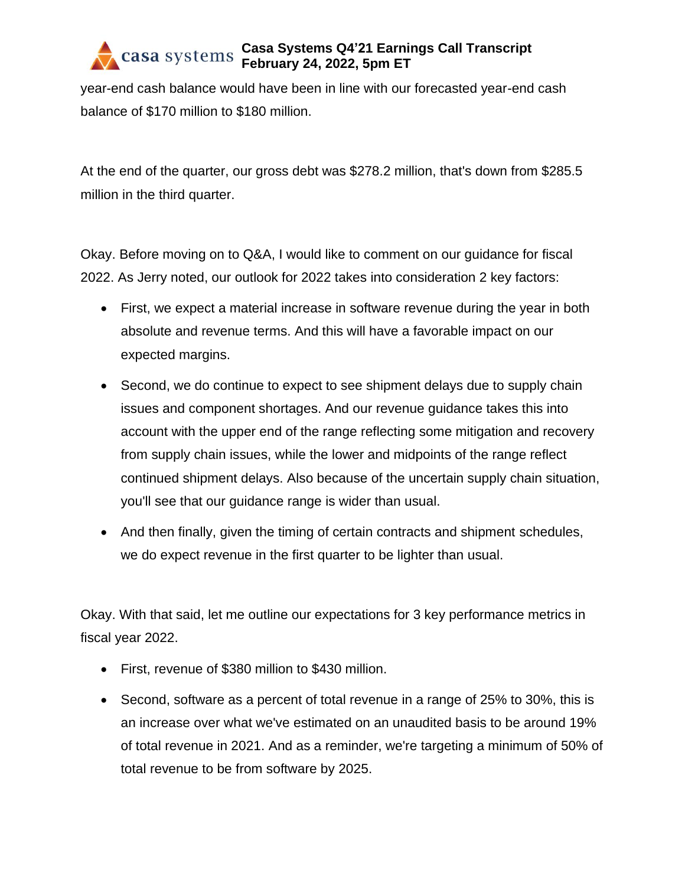year-end cash balance would have been in line with our forecasted year-end cash balance of \$170 million to \$180 million.

At the end of the quarter, our gross debt was \$278.2 million, that's down from \$285.5 million in the third quarter.

Okay. Before moving on to Q&A, I would like to comment on our guidance for fiscal 2022. As Jerry noted, our outlook for 2022 takes into consideration 2 key factors:

- First, we expect a material increase in software revenue during the year in both absolute and revenue terms. And this will have a favorable impact on our expected margins.
- Second, we do continue to expect to see shipment delays due to supply chain issues and component shortages. And our revenue guidance takes this into account with the upper end of the range reflecting some mitigation and recovery from supply chain issues, while the lower and midpoints of the range reflect continued shipment delays. Also because of the uncertain supply chain situation, you'll see that our guidance range is wider than usual.
- And then finally, given the timing of certain contracts and shipment schedules, we do expect revenue in the first quarter to be lighter than usual.

Okay. With that said, let me outline our expectations for 3 key performance metrics in fiscal year 2022.

- First, revenue of \$380 million to \$430 million.
- Second, software as a percent of total revenue in a range of 25% to 30%, this is an increase over what we've estimated on an unaudited basis to be around 19% of total revenue in 2021. And as a reminder, we're targeting a minimum of 50% of total revenue to be from software by 2025.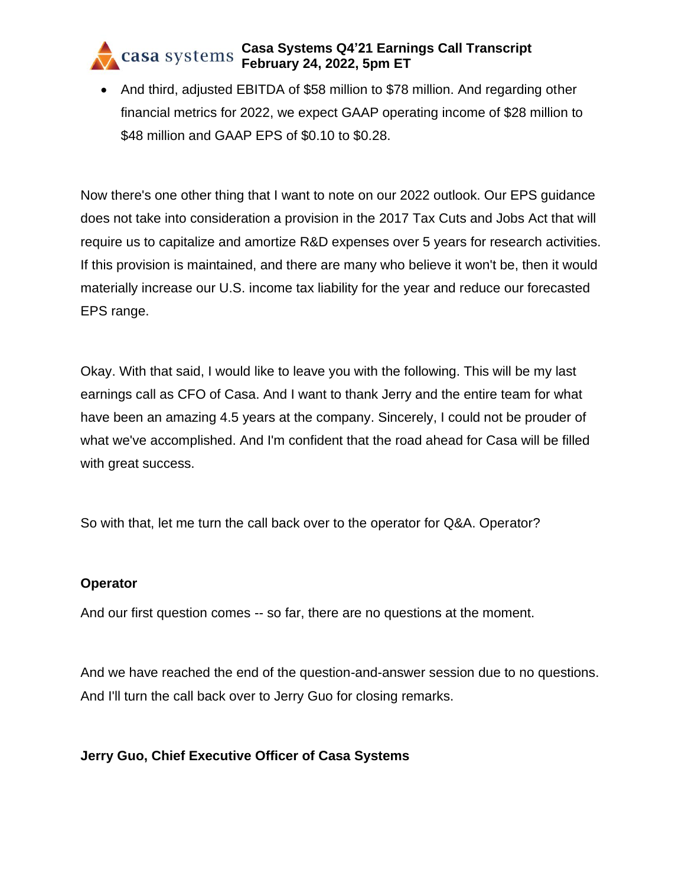• And third, adjusted EBITDA of \$58 million to \$78 million. And regarding other financial metrics for 2022, we expect GAAP operating income of \$28 million to \$48 million and GAAP EPS of \$0.10 to \$0.28.

Now there's one other thing that I want to note on our 2022 outlook. Our EPS guidance does not take into consideration a provision in the 2017 Tax Cuts and Jobs Act that will require us to capitalize and amortize R&D expenses over 5 years for research activities. If this provision is maintained, and there are many who believe it won't be, then it would materially increase our U.S. income tax liability for the year and reduce our forecasted EPS range.

Okay. With that said, I would like to leave you with the following. This will be my last earnings call as CFO of Casa. And I want to thank Jerry and the entire team for what have been an amazing 4.5 years at the company. Sincerely, I could not be prouder of what we've accomplished. And I'm confident that the road ahead for Casa will be filled with great success.

So with that, let me turn the call back over to the operator for Q&A. Operator?

### **Operator**

And our first question comes -- so far, there are no questions at the moment.

And we have reached the end of the question-and-answer session due to no questions. And I'll turn the call back over to Jerry Guo for closing remarks.

### **Jerry Guo, Chief Executive Officer of Casa Systems**